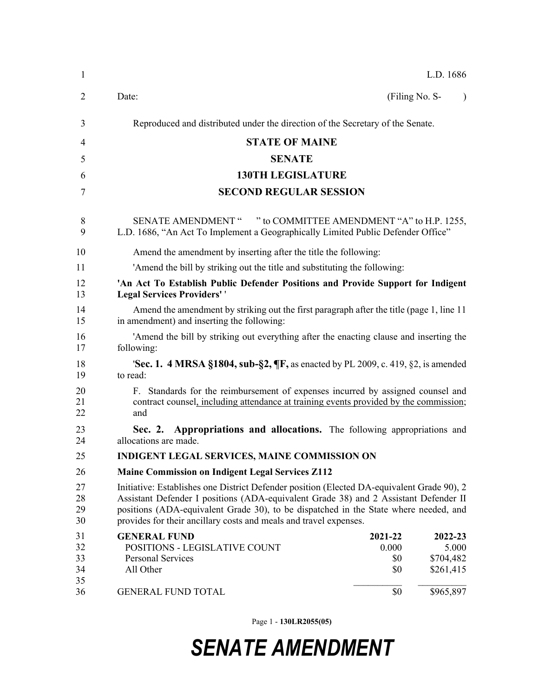| 1                          |                                                                                                                                                                                                                                                                                                                                                 |                                | L.D. 1686                                  |  |  |
|----------------------------|-------------------------------------------------------------------------------------------------------------------------------------------------------------------------------------------------------------------------------------------------------------------------------------------------------------------------------------------------|--------------------------------|--------------------------------------------|--|--|
| 2                          | Date:                                                                                                                                                                                                                                                                                                                                           | (Filing No. S-                 |                                            |  |  |
| 3                          | Reproduced and distributed under the direction of the Secretary of the Senate.                                                                                                                                                                                                                                                                  |                                |                                            |  |  |
| 4                          | <b>STATE OF MAINE</b>                                                                                                                                                                                                                                                                                                                           |                                |                                            |  |  |
| 5                          | <b>SENATE</b>                                                                                                                                                                                                                                                                                                                                   |                                |                                            |  |  |
| 6                          | <b>130TH LEGISLATURE</b>                                                                                                                                                                                                                                                                                                                        |                                |                                            |  |  |
| 7                          | <b>SECOND REGULAR SESSION</b>                                                                                                                                                                                                                                                                                                                   |                                |                                            |  |  |
| 8<br>9                     | SENATE AMENDMENT " " to COMMITTEE AMENDMENT "A" to H.P. 1255,<br>L.D. 1686, "An Act To Implement a Geographically Limited Public Defender Office"                                                                                                                                                                                               |                                |                                            |  |  |
| 10                         | Amend the amendment by inserting after the title the following:                                                                                                                                                                                                                                                                                 |                                |                                            |  |  |
| 11                         | 'Amend the bill by striking out the title and substituting the following:                                                                                                                                                                                                                                                                       |                                |                                            |  |  |
| 12<br>13                   | 'An Act To Establish Public Defender Positions and Provide Support for Indigent<br><b>Legal Services Providers''</b>                                                                                                                                                                                                                            |                                |                                            |  |  |
| 14<br>15                   | Amend the amendment by striking out the first paragraph after the title (page 1, line 11)<br>in amendment) and inserting the following:                                                                                                                                                                                                         |                                |                                            |  |  |
| 16<br>17                   | 'Amend the bill by striking out everything after the enacting clause and inserting the<br>following:                                                                                                                                                                                                                                            |                                |                                            |  |  |
| 18<br>19                   | <b>Sec. 1. 4 MRSA §1804, sub-§2, <math>\P</math>F</b> , as enacted by PL 2009, c. 419, §2, is amended<br>to read:                                                                                                                                                                                                                               |                                |                                            |  |  |
| 20<br>21<br>22             | F. Standards for the reimbursement of expenses incurred by assigned counsel and<br>contract counsel, including attendance at training events provided by the commission;<br>and                                                                                                                                                                 |                                |                                            |  |  |
| 23<br>24                   | Sec. 2. Appropriations and allocations. The following appropriations and<br>allocations are made.                                                                                                                                                                                                                                               |                                |                                            |  |  |
| 25                         | <b>INDIGENT LEGAL SERVICES, MAINE COMMISSION ON</b>                                                                                                                                                                                                                                                                                             |                                |                                            |  |  |
| 26                         | <b>Maine Commission on Indigent Legal Services Z112</b>                                                                                                                                                                                                                                                                                         |                                |                                            |  |  |
| 27<br>28<br>29<br>30       | Initiative: Establishes one District Defender position (Elected DA-equivalent Grade 90), 2<br>Assistant Defender I positions (ADA-equivalent Grade 38) and 2 Assistant Defender II<br>positions (ADA-equivalent Grade 30), to be dispatched in the State where needed, and<br>provides for their ancillary costs and meals and travel expenses. |                                |                                            |  |  |
| 31<br>32<br>33<br>34<br>35 | <b>GENERAL FUND</b><br>POSITIONS - LEGISLATIVE COUNT<br>Personal Services<br>All Other                                                                                                                                                                                                                                                          | 2021-22<br>0.000<br>\$0<br>\$0 | 2022-23<br>5.000<br>\$704,482<br>\$261,415 |  |  |
| 36                         | <b>GENERAL FUND TOTAL</b>                                                                                                                                                                                                                                                                                                                       | \$0                            | \$965,897                                  |  |  |

Page 1 - **130LR2055(05)**

## *SENATE AMENDMENT*